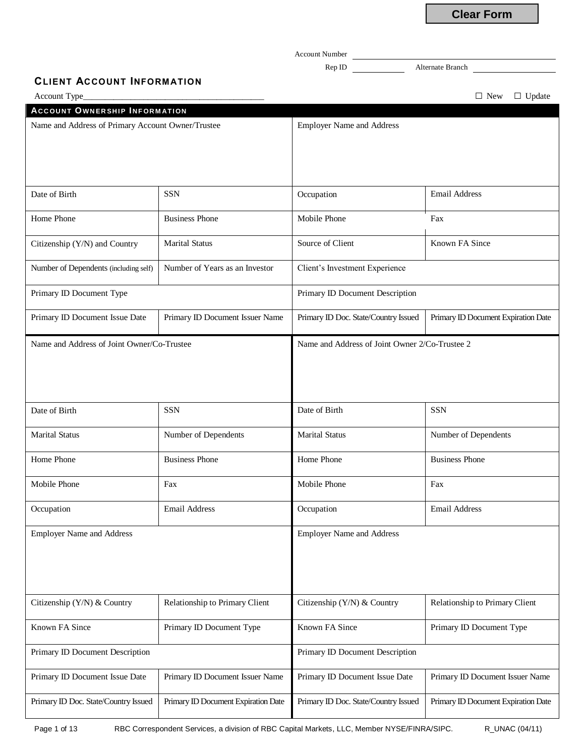Account Number Rep ID Alternate Branch **CLIENT ACCOUNT INFORM ATION** Account Type\_\_\_\_\_\_\_\_\_\_\_\_\_\_\_\_\_\_\_\_\_\_\_\_\_\_\_\_\_\_\_\_\_\_\_\_\_\_\_\_\_\_ □ New □ Update **AC C OU N T OWN ER SH I P I N F OR M AT I ON** Name and Address of Primary Account Owner/Trustee Employer Name and Address Date of Birth SSN SSN Cocupation Email Address Home Phone **Business Phone** Mobile Phone Fax Citizenship (Y/N) and Country Marital Status Source of Client Known FA Since Number of Dependents (including self) Number of Years as an Investor Client's Investment Experience Primary ID Document Type Primary ID Document Description Primary ID Document Issue Date Primary ID Document Issuer Name Primary ID Doc. State/Country Issued Primary ID Document Expiration Date Name and Address of Joint Owner/Co-Trustee Name and Address of Joint Owner 2/Co-Trustee 2 Date of Birth SSN SSN Date of Birth SSN Marital Status Number of Dependents Marital Status Number of Dependents Number of Dependents Home Phone **Business Phone Home Phone** Business Phone **Home Phone** Business Phone Mobile Phone Fax Fax Mobile Phone Fax Fax Fax Mobile Phone Occupation Email Address Occupation Email Address Employer Name and Address Employer Name and Address Citizenship (Y/N) & Country Relationship to Primary Client Citizenship (Y/N) & Country Relationship to Primary Client Known FA Since **Primary ID Document Type** Known FA Since Primary ID Document Type Primary ID Document Description **Primary ID Document Description** Primary ID Document Description Primary ID Document Issue Date Primary ID Document Issuer Name Primary ID Document Issue Date Primary ID Document Issuer Name Primary ID Doc. State/Country Issued Primary ID Document Expiration Date Primary ID Doc. State/Country Issued Primary ID Document Expiration Date **Clear Form**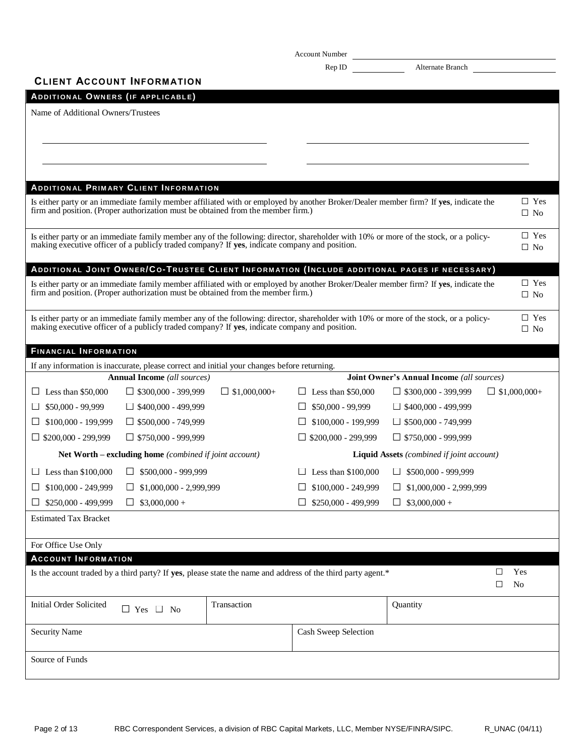|                                    |                                                                                                                                   |                     | Account Number                                                                                               |                                                                                                                                       |                          |
|------------------------------------|-----------------------------------------------------------------------------------------------------------------------------------|---------------------|--------------------------------------------------------------------------------------------------------------|---------------------------------------------------------------------------------------------------------------------------------------|--------------------------|
|                                    |                                                                                                                                   |                     | Rep ID                                                                                                       | Alternate Branch                                                                                                                      |                          |
|                                    | <b>CLIENT ACCOUNT INFORMATION</b>                                                                                                 |                     |                                                                                                              |                                                                                                                                       |                          |
| ADDITIONAL OWNERS (IF APPLICABLE)  |                                                                                                                                   |                     |                                                                                                              |                                                                                                                                       |                          |
| Name of Additional Owners/Trustees |                                                                                                                                   |                     |                                                                                                              |                                                                                                                                       |                          |
|                                    |                                                                                                                                   |                     |                                                                                                              |                                                                                                                                       |                          |
|                                    |                                                                                                                                   |                     |                                                                                                              |                                                                                                                                       |                          |
|                                    |                                                                                                                                   |                     |                                                                                                              |                                                                                                                                       |                          |
|                                    | <b>ADDITIONAL PRIMARY CLIENT INFORMATION</b>                                                                                      |                     |                                                                                                              |                                                                                                                                       |                          |
|                                    |                                                                                                                                   |                     |                                                                                                              | Is either party or an immediate family member affiliated with or employed by another Broker/Dealer member firm? If yes, indicate the  | $\Box$ Yes               |
|                                    | firm and position. (Proper authorization must be obtained from the member firm.)                                                  |                     |                                                                                                              |                                                                                                                                       | $\Box$ No                |
|                                    |                                                                                                                                   |                     |                                                                                                              |                                                                                                                                       | $\Box$ Yes               |
|                                    | making executive officer of a publicly traded company? If yes, indicate company and position.                                     |                     |                                                                                                              | Is either party or an immediate family member any of the following: director, shareholder with 10% or more of the stock, or a policy- | $\Box$ No                |
|                                    |                                                                                                                                   |                     |                                                                                                              |                                                                                                                                       |                          |
|                                    |                                                                                                                                   |                     |                                                                                                              | <b>ADDITIONAL JOINT OWNER/CO-TRUSTEE CLIENT INFORMATION (INCLUDE ADDITIONAL PAGES IF NECESSARY)</b>                                   | $\Box$ Yes               |
|                                    | firm and position. (Proper authorization must be obtained from the member firm.)                                                  |                     |                                                                                                              | Is either party or an immediate family member affiliated with or employed by another Broker/Dealer member firm? If yes, indicate the  | $\Box$ No                |
|                                    |                                                                                                                                   |                     |                                                                                                              |                                                                                                                                       |                          |
|                                    | making executive officer of a publicly traded company? If yes, indicate company and position.                                     |                     |                                                                                                              | Is either party or an immediate family member any of the following: director, shareholder with 10% or more of the stock, or a policy- | $\Box$ Yes<br>$\Box$ No  |
|                                    |                                                                                                                                   |                     |                                                                                                              |                                                                                                                                       |                          |
| <b>FINANCIAL INFORMATION</b>       |                                                                                                                                   |                     |                                                                                                              |                                                                                                                                       |                          |
|                                    | If any information is inaccurate, please correct and initial your changes before returning.<br><b>Annual Income</b> (all sources) |                     |                                                                                                              | Joint Owner's Annual Income (all sources)                                                                                             |                          |
| $\Box$ Less than \$50,000          | $\Box$ \$300,000 - 399,999                                                                                                        | $\Box$ \$1,000,000+ | $\Box$ Less than \$50,000                                                                                    | $\Box$ \$300,000 - 399,999                                                                                                            | $\Box$ \$1,000,000+      |
| $$50,000 - 99,999$<br>ப            | $\Box$ \$400,000 - 499,999                                                                                                        |                     | \$50,000 - 99,999                                                                                            | $\Box$ \$400,000 - 499,999                                                                                                            |                          |
| \$100,000 - 199,999<br>ப           | $\Box$ \$500,000 - 749,999                                                                                                        |                     | \$100,000 - 199,999<br>⊔                                                                                     | $\Box$ \$500,000 - 749,999                                                                                                            |                          |
| $\Box$ \$200,000 - 299,999         | $\Box$ \$750,000 - 999,999                                                                                                        |                     | $\Box$ \$200,000 - 299,999                                                                                   | $\Box$ \$750,000 - 999,999                                                                                                            |                          |
|                                    | <b>Net Worth – excluding home</b> (combined if joint account)                                                                     |                     |                                                                                                              | <b>Liquid Assets</b> (combined if joint account)                                                                                      |                          |
| $\Box$ Less than \$100,000         | $\Box$ \$500,000 - 999,999                                                                                                        |                     | $\Box$ Less than \$100,000                                                                                   | $\Box$ \$500,000 - 999,999                                                                                                            |                          |
| $\Box$ \$100,000 - 249,999         | $\Box$ \$1,000,000 - 2,999,999                                                                                                    |                     | $$100,000 - 249,999$<br>$\Box$                                                                               | $\Box$ \$1,000,000 - 2,999,999                                                                                                        |                          |
| \$250,000 - 499,999<br>ப           | $$3,000,000 +$<br>⊔                                                                                                               |                     | \$250,000 - 499,999<br>$\Box$                                                                                | $\Box$ \$3,000,000 +                                                                                                                  |                          |
| <b>Estimated Tax Bracket</b>       |                                                                                                                                   |                     |                                                                                                              |                                                                                                                                       |                          |
|                                    |                                                                                                                                   |                     |                                                                                                              |                                                                                                                                       |                          |
| For Office Use Only                |                                                                                                                                   |                     |                                                                                                              |                                                                                                                                       |                          |
| <b>ACCOUNT INFORMATION</b>         |                                                                                                                                   |                     |                                                                                                              |                                                                                                                                       |                          |
|                                    |                                                                                                                                   |                     | Is the account traded by a third party? If yes, please state the name and address of the third party agent.* |                                                                                                                                       | $\Box$<br>Yes<br>□<br>No |
|                                    |                                                                                                                                   |                     |                                                                                                              |                                                                                                                                       |                          |
| Initial Order Solicited            | $\Box$ No<br>$\Box$ Yes                                                                                                           | Transaction         |                                                                                                              | Quantity                                                                                                                              |                          |
| <b>Security Name</b>               |                                                                                                                                   |                     | Cash Sweep Selection                                                                                         |                                                                                                                                       |                          |
|                                    |                                                                                                                                   |                     |                                                                                                              |                                                                                                                                       |                          |
| Source of Funds                    |                                                                                                                                   |                     |                                                                                                              |                                                                                                                                       |                          |
|                                    |                                                                                                                                   |                     |                                                                                                              |                                                                                                                                       |                          |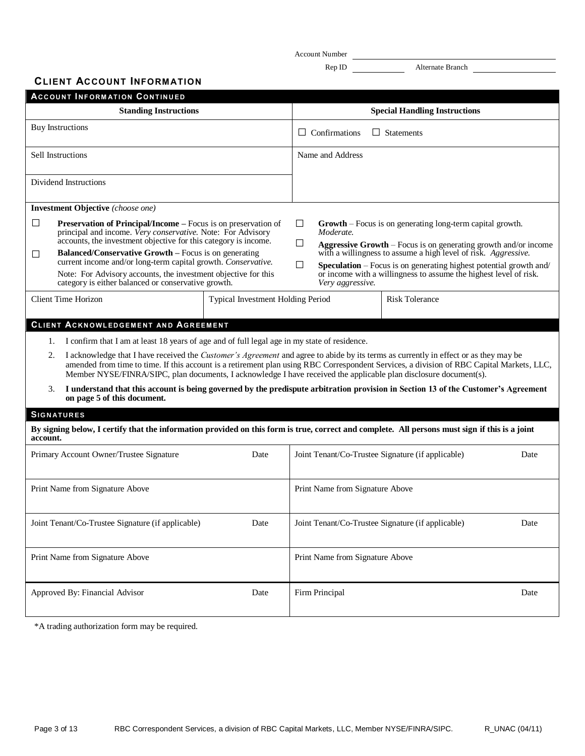Account Number Rep ID Alternate Branch

**CLIENT ACCOUNT INFORM ATION**

|                                                                                                                                                                                                                                                                                                                                                                                                                                                                             | <b>ACCOUNT INFORMATION CONTINUED</b>                                                                                                                                                                                                                                                                                                                                                                                                                                                                                                                                                                                                                                                             |                                                                                                                                                                                                                                                                                                                                                                                                                |                                 |                                                   |      |
|-----------------------------------------------------------------------------------------------------------------------------------------------------------------------------------------------------------------------------------------------------------------------------------------------------------------------------------------------------------------------------------------------------------------------------------------------------------------------------|--------------------------------------------------------------------------------------------------------------------------------------------------------------------------------------------------------------------------------------------------------------------------------------------------------------------------------------------------------------------------------------------------------------------------------------------------------------------------------------------------------------------------------------------------------------------------------------------------------------------------------------------------------------------------------------------------|----------------------------------------------------------------------------------------------------------------------------------------------------------------------------------------------------------------------------------------------------------------------------------------------------------------------------------------------------------------------------------------------------------------|---------------------------------|---------------------------------------------------|------|
|                                                                                                                                                                                                                                                                                                                                                                                                                                                                             | <b>Standing Instructions</b>                                                                                                                                                                                                                                                                                                                                                                                                                                                                                                                                                                                                                                                                     |                                                                                                                                                                                                                                                                                                                                                                                                                |                                 | <b>Special Handling Instructions</b>              |      |
|                                                                                                                                                                                                                                                                                                                                                                                                                                                                             | <b>Buy Instructions</b>                                                                                                                                                                                                                                                                                                                                                                                                                                                                                                                                                                                                                                                                          |                                                                                                                                                                                                                                                                                                                                                                                                                | $\Box$ Confirmations            | $\Box$ Statements                                 |      |
|                                                                                                                                                                                                                                                                                                                                                                                                                                                                             | Sell Instructions                                                                                                                                                                                                                                                                                                                                                                                                                                                                                                                                                                                                                                                                                |                                                                                                                                                                                                                                                                                                                                                                                                                | Name and Address                |                                                   |      |
|                                                                                                                                                                                                                                                                                                                                                                                                                                                                             | Dividend Instructions                                                                                                                                                                                                                                                                                                                                                                                                                                                                                                                                                                                                                                                                            |                                                                                                                                                                                                                                                                                                                                                                                                                |                                 |                                                   |      |
|                                                                                                                                                                                                                                                                                                                                                                                                                                                                             | <b>Investment Objective</b> (choose one)                                                                                                                                                                                                                                                                                                                                                                                                                                                                                                                                                                                                                                                         |                                                                                                                                                                                                                                                                                                                                                                                                                |                                 |                                                   |      |
| □<br><b>Preservation of Principal/Income</b> – Focus is on preservation of<br>principal and income. Very conservative. Note: For Advisory<br>accounts, the investment objective for this category is income.<br><b>Balanced/Conservative Growth – Focus is on generating</b><br>П<br>current income and/or long-term capital growth. Conservative.<br>Note: For Advisory accounts, the investment objective for this<br>category is either balanced or conservative growth. |                                                                                                                                                                                                                                                                                                                                                                                                                                                                                                                                                                                                                                                                                                  | ⊔<br><b>Growth</b> – Focus is on generating long-term capital growth.<br>Moderate.<br>⊔<br><b>Aggressive Growth</b> – Focus is on generating growth and/or income<br>with a willingness to assume a high level of risk. Aggressive.<br>П<br><b>Speculation</b> – Focus is on generating highest potential growth and/<br>or income with a willingness to assume the highest level of risk.<br>Very aggressive. |                                 |                                                   |      |
|                                                                                                                                                                                                                                                                                                                                                                                                                                                                             | <b>Client Time Horizon</b>                                                                                                                                                                                                                                                                                                                                                                                                                                                                                                                                                                                                                                                                       | <b>Typical Investment Holding Period</b>                                                                                                                                                                                                                                                                                                                                                                       |                                 | <b>Risk Tolerance</b>                             |      |
| 1.<br>2.<br>3.                                                                                                                                                                                                                                                                                                                                                                                                                                                              | I confirm that I am at least 18 years of age and of full legal age in my state of residence.<br>I acknowledge that I have received the Customer's Agreement and agree to abide by its terms as currently in effect or as they may be<br>amended from time to time. If this account is a retirement plan using RBC Correspondent Services, a division of RBC Capital Markets, LLC,<br>Member NYSE/FINRA/SIPC, plan documents, I acknowledge I have received the applicable plan disclosure document(s).<br>I understand that this account is being governed by the predispute arbitration provision in Section 13 of the Customer's Agreement<br>on page 5 of this document.<br><b>SIGNATURES</b> |                                                                                                                                                                                                                                                                                                                                                                                                                |                                 |                                                   |      |
| account.                                                                                                                                                                                                                                                                                                                                                                                                                                                                    | By signing below, I certify that the information provided on this form is true, correct and complete. All persons must sign if this is a joint                                                                                                                                                                                                                                                                                                                                                                                                                                                                                                                                                   |                                                                                                                                                                                                                                                                                                                                                                                                                |                                 |                                                   |      |
|                                                                                                                                                                                                                                                                                                                                                                                                                                                                             | Primary Account Owner/Trustee Signature                                                                                                                                                                                                                                                                                                                                                                                                                                                                                                                                                                                                                                                          | Date                                                                                                                                                                                                                                                                                                                                                                                                           |                                 | Joint Tenant/Co-Trustee Signature (if applicable) | Date |
|                                                                                                                                                                                                                                                                                                                                                                                                                                                                             | Print Name from Signature Above                                                                                                                                                                                                                                                                                                                                                                                                                                                                                                                                                                                                                                                                  |                                                                                                                                                                                                                                                                                                                                                                                                                | Print Name from Signature Above |                                                   |      |
|                                                                                                                                                                                                                                                                                                                                                                                                                                                                             | Joint Tenant/Co-Trustee Signature (if applicable)                                                                                                                                                                                                                                                                                                                                                                                                                                                                                                                                                                                                                                                | Date                                                                                                                                                                                                                                                                                                                                                                                                           |                                 | Joint Tenant/Co-Trustee Signature (if applicable) | Date |
|                                                                                                                                                                                                                                                                                                                                                                                                                                                                             | Print Name from Signature Above                                                                                                                                                                                                                                                                                                                                                                                                                                                                                                                                                                                                                                                                  |                                                                                                                                                                                                                                                                                                                                                                                                                | Print Name from Signature Above |                                                   |      |
|                                                                                                                                                                                                                                                                                                                                                                                                                                                                             | Approved By: Financial Advisor                                                                                                                                                                                                                                                                                                                                                                                                                                                                                                                                                                                                                                                                   | Date                                                                                                                                                                                                                                                                                                                                                                                                           | Firm Principal                  |                                                   | Date |

\*A trading authorization form may be required.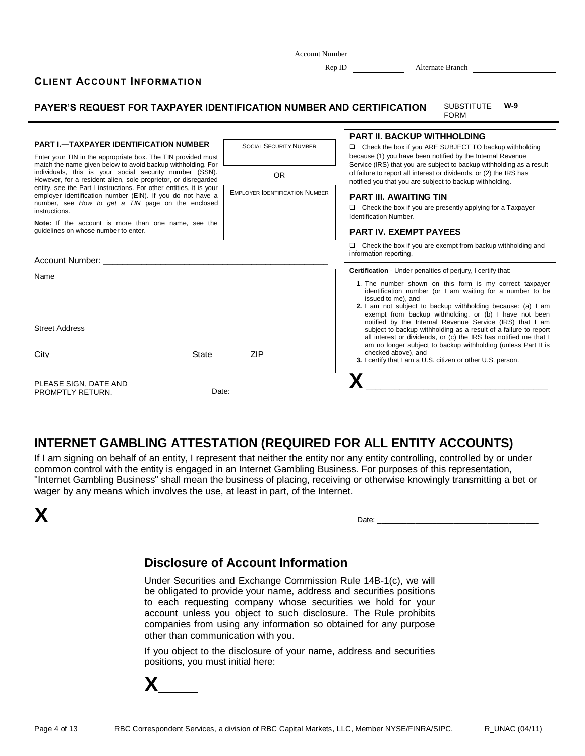Rep ID Alternate Branch

## **CLIENT ACCOUNT INFORM ATION**

**PAYER'S REQUEST FOR TAXPAYER IDENTIFICATION NUMBER AND CERTIFICATION** SUBSTITUTE FORM **W-9 PART I.—TAXPAYER IDENTIFICATION NUMBER** Enter your TIN in the appropriate box. The TIN provided must match the name given below to avoid backup withholding. For individuals, this is your social security number (SSN). However, for a resident alien, sole proprietor, or disregarded entity, see the Part I instructions. For other entities, it is your employer identification number (EIN). If you do not have a number, see *How to get a TIN* page on the enclosed instructions. **Note:** If the account is more than one name, see the guidelines on whose number to enter. SOCIAL SECURITY NUMBER OR EMPLOYER IDENTIFICATION NUMBER Account Number: Name Street Address City **State** ZIP PLEASE SIGN, DATE AND PROMPTLY RETURN. Date: \_ **PART II. BACKUP WITHHOLDING** Check the box if you ARE SUBJECT TO backup withholding because (1) you have been notified by the Internal Revenue Service (IRS) that you are subject to backup withholding as a result of failure to report all interest or dividends, or (2) the IRS has notified you that you are subject to backup withholding. **PART III. AWAITING TIN**  $\Box$  Check the box if you are presently applying for a Taxpayer Identification Number. **PART IV. EXEMPT PAYEES**  $\Box$  Check the box if you are exempt from backup withholding and information reporting. **Certification** - Under penalties of perjury, I certify that: 1. The number shown on this form is my correct taxpayer identification number (or I am waiting for a number to be issued to me), and **2.** I am not subject to backup withholding because: (a) I am exempt from backup withholding, or (b) I have not been notified by the Internal Revenue Service (IRS) that I am subject to backup withholding as a result of a failure to report all interest or dividends, or (c) the IRS has notified me that I am no longer subject to backup withholding (unless Part II is checked above), and **3.** I certify that I am a U.S. citizen or other U.S. person. **X\_\_\_\_\_\_\_\_\_\_\_\_\_\_\_\_\_\_\_\_\_\_\_\_\_\_\_\_\_\_\_\_\_\_\_\_\_\_**

# **INTERNET GAMBLING ATTESTATION (REQUIRED FOR ALL ENTITY ACCOUNTS)**

If I am signing on behalf of an entity, I represent that neither the entity nor any entity controlling, controlled by or under common control with the entity is engaged in an Internet Gambling Business. For purposes of this representation, "Internet Gambling Business" shall mean the business of placing, receiving or otherwise knowingly transmitting a bet or wager by any means which involves the use, at least in part, of the Internet.



# **Disclosure of Account Information**

Under Securities and Exchange Commission Rule 14B-1(c), we will be obligated to provide your name, address and securities positions to each requesting company whose securities we hold for your account unless you object to such disclosure. The Rule prohibits companies from using any information so obtained for any purpose other than communication with you.

If you object to the disclosure of your name, address and securities positions, you must initial here:

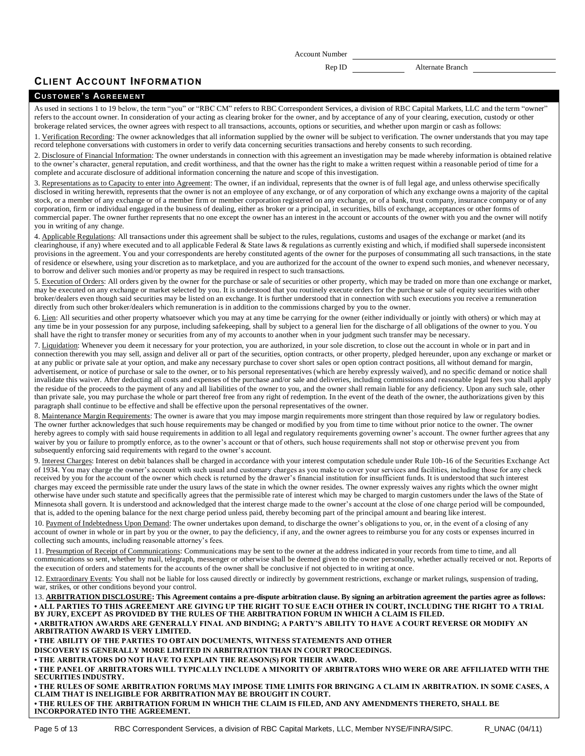Rep ID Alternate Branch

## **CLIENT ACCOUNT INFORM ATION**

## **CU ST OM ER 'S AG R EEM E N T**

As used in sections 1 to 19 below, the term "you" or "RBC CM" refers to RBC Correspondent Services, a division of RBC Capital Markets, LLC and the term "owner" refers to the account owner. In consideration of your acting as clearing broker for the owner, and by acceptance of any of your clearing, execution, custody or other brokerage related services, the owner agrees with respect to all transactions, accounts, options or securities, and whether upon margin or cash as follows:

1. Verification Recording: The owner acknowledges that all information supplied by the owner will be subject to verification. The owner understands that you may tape record telephone conversations with customers in order to verify data concerning securities transactions and hereby consents to such recording.

2. Disclosure of Financial Information: The owner understands in connection with this agreement an investigation may be made whereby information is obtained relative to the owner's character, general reputation, and credit worthiness, and that the owner has the right to make a written request within a reasonable period of time for a complete and accurate disclosure of additional information concerning the nature and scope of this investigation.

3. Representations as to Capacity to enter into Agreement: The owner, if an individual, represents that the owner is of full legal age, and unless otherwise specifically disclosed in writing herewith, represents that the owner is not an employee of any exchange, or of any corporation of which any exchange owns a majority of the capital stock, or a member of any exchange or of a member firm or member corporation registered on any exchange, or of a bank, trust company, insurance company or of any corporation, firm or individual engaged in the business of dealing, either as broker or a principal, in securities, bills of exchange, acceptances or other forms of commercial paper. The owner further represents that no one except the owner has an interest in the account or accounts of the owner with you and the owner will notify you in writing of any change.

4. Applicable Regulations: All transactions under this agreement shall be subject to the rules, regulations, customs and usages of the exchange or market (and its clearinghouse, if any) where executed and to all applicable Federal & State laws & regulations as currently existing and which, if modified shall supersede inconsistent provisions in the agreement. You and your correspondents are hereby constituted agents of the owner for the purposes of consummating all such transactions, in the state of residence or elsewhere, using your discretion as to marketplace, and you are authorized for the account of the owner to expend such monies, and whenever necessary, to borrow and deliver such monies and/or property as may be required in respect to such transactions.

5. Execution of Orders: All orders given by the owner for the purchase or sale of securities or other property, which may be traded on more than one exchange or market, may be executed on any exchange or market selected by you. It is understood that you routinely execute orders for the purchase or sale of equity securities with other broker/dealers even though said securities may be listed on an exchange. It is further understood that in connection with such executions you receive a remuneration directly from such other broker/dealers which remuneration is in addition to the commissions charged by you to the owner.

6. Lien: All securities and other property whatsoever which you may at any time be carrying for the owner (either individually or jointly with others) or which may at any time be in your possession for any purpose, including safekeeping, shall by subject to a general lien for the discharge of all obligations of the owner to you. You shall have the right to transfer money or securities from any of my accounts to another when in your judgment such transfer may be necessary.

7. Liquidation: Whenever you deem it necessary for your protection, you are authorized, in your sole discretion, to close out the account in whole or in part and in connection therewith you may sell, assign and deliver all or part of the securities, option contracts, or other property, pledged hereunder, upon any exchange or market or at any public or private sale at your option, and make any necessary purchase to cover short sales or open option contract positions, all without demand for margin, advertisement, or notice of purchase or sale to the owner, or to his personal representatives (which are hereby expressly waived), and no specific demand or notice shall invalidate this waiver. After deducting all costs and expenses of the purchase and/or sale and deliveries, including commissions and reasonable legal fees you shall apply the residue of the proceeds to the payment of any and all liabilities of the owner to you, and the owner shall remain liable for any deficiency. Upon any such sale, other than private sale, you may purchase the whole or part thereof free from any right of redemption. In the event of the death of the owner, the authorizations given by this paragraph shall continue to be effective and shall be effective upon the personal representatives of the owner.

8. Maintenance Margin Requirements: The owner is aware that you may impose margin requirements more stringent than those required by law or regulatory bodies. The owner further acknowledges that such house requirements may be changed or modified by you from time to time without prior notice to the owner. The owner hereby agrees to comply with said house requirements in addition to all legal and regulatory requirements governing owner's account. The owner further agrees that any waiver by you or failure to promptly enforce, as to the owner's account or that of others, such house requirements shall not stop or otherwise prevent you from subsequently enforcing said requirements with regard to the owner's account.

9. Interest Charges: Interest on debit balances shall be charged in accordance with your interest computation schedule under Rule 10b-16 of the Securities Exchange Act of 1934. You may charge the owner's account with such usual and customary charges as you make to cover your services and facilities, including those for any check received by you for the account of the owner which check is returned by the drawer's financial institution for insufficient funds. It is understood that such interest charges may exceed the permissible rate under the usury laws of the state in which the owner resides. The owner expressly waives any rights which the owner might otherwise have under such statute and specifically agrees that the permissible rate of interest which may be charged to margin customers under the laws of the State of Minnesota shall govern. It is understood and acknowledged that the interest charge made to the owner's account at the close of one charge period will be compounded, that is, added to the opening balance for the next charge period unless paid, thereby becoming part of the principal amount and bearing like interest.

10. Payment of Indebtedness Upon Demand: The owner undertakes upon demand, to discharge the owner's obligations to you, or, in the event of a closing of any account of owner in whole or in part by you or the owner, to pay the deficiency, if any, and the owner agrees to reimburse you for any costs or expenses incurred in collecting such amounts, including reasonable attorney's fees.

11. Presumption of Receipt of Communications: Communications may be sent to the owner at the address indicated in your records from time to time, and all communications so sent, whether by mail, telegraph, messenger or otherwise shall be deemed given to the owner personally, whether actually received or not. Reports of the execution of orders and statements for the accounts of the owner shall be conclusive if not objected to in writing at once.

12. Extraordinary Events: You shall not be liable for loss caused directly or indirectly by government restrictions, exchange or market rulings, suspension of trading, war, strikes, or other conditions beyond your control.

13. **ARBITRATION DISCLOSURE: This Agreement contains a pre-dispute arbitration clause. By signing an arbitration agreement the parties agree as follows: • ALL PARTIES TO THIS AGREEMENT ARE GIVING UP THE RIGHT TO SUE EACH OTHER IN COURT, INCLUDING THE RIGHT TO A TRIAL BY JURY, EXCEPT AS PROVIDED BY THE RULES OF THE ARBITRATION FORUM IN WHICH A CLAIM IS FILED.**

**• ARBITRATION AWARDS ARE GENERALLY FINAL AND BINDING; A PARTY'S ABILITY TO HAVE A COURT REVERSE OR MODIFY AN ARBITRATION AWARD IS VERY LIMITED.**

**• THE ABILITY OF THE PARTIES TO OBTAIN DOCUMENTS, WITNESS STATEMENTS AND OTHER DISCOVERY IS GENERALLY MORE LIMITED IN ARBITRATION THAN IN COURT PROCEEDINGS.**

**• THE ARBITRATORS DO NOT HAVE TO EXPLAIN THE REASON(S) FOR THEIR AWARD.**

**• THE PANEL OF ARBITRATORS WILL TYPICALLY INCLUDE A MINORITY OF ARBITRATORS WHO WERE OR ARE AFFILIATED WITH THE SECURITIES INDUSTRY.**

**• THE RULES OF SOME ARBITRATION FORUMS MAY IMPOSE TIME LIMITS FOR BRINGING A CLAIM IN ARBITRATION. IN SOME CASES, A CLAIM THAT IS INELIGIBLE FOR ARBITRATION MAY BE BROUGHT IN COURT.**

**• THE RULES OF THE ARBITRATION FORUM IN WHICH THE CLAIM IS FILED, AND ANY AMENDMENTS THERETO, SHALL BE INCORPORATED INTO THE AGREEMENT.**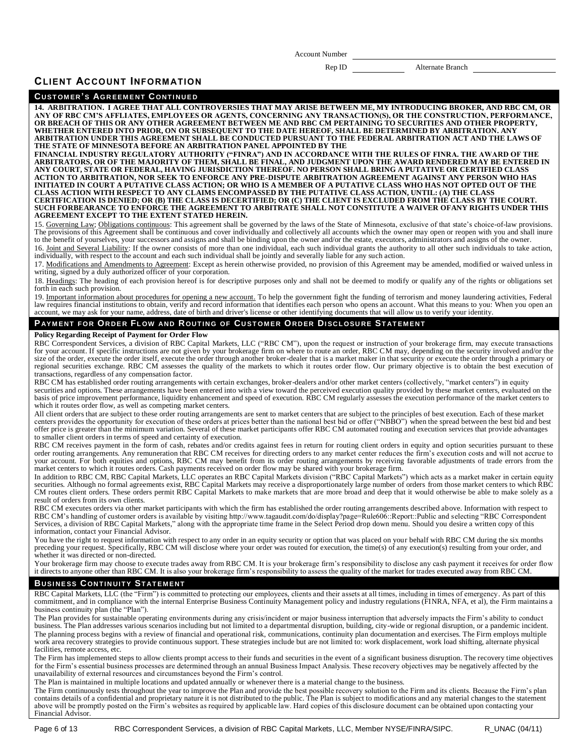Rep ID Alternate Branch

## **CLIENT ACCOUNT INFORM ATION**

### **CU ST OM ER 'S AG R EEM E N T C ON T I N U E D**

**14. ARBITRATION. I AGREE THAT ALL CONTROVERSIES THAT MAY ARISE BETWEEN ME, MY INTRODUCING BROKER, AND RBC CM, OR**  ANY OF RBC CM'S AFFLIATES, EMPLOYEES OR AGENTS, CONCERNING ANY TRANSACTION(S), OR THE CONSTRUCTION, PERFORMANCE,<br>OR BREACH OF THIS OR ANY OTHER AGREEMENT BETWEEN ME AND RBC CM PERTAINING TO SECURITIES AND OTHER PROPERTY, **WHETHER ENTERED INTO PRIOR, ON OR SUBSEQUENT TO THE DATE HEREOF, SHALL BE DETERMINED BY ARBITRATION. ANY ARBITRATION UNDER THIS AGREEMENT SHALL BE CONDUCTED PURSUANT TO THE FEDERAL ARBITRATION ACT AND THE LAWS OF THE STATE OF MINNESOTA BEFORE AN ARBITRATION PANEL APPOINTED BY THE**

FINANCIAL INDUSTRY REGULATORY AUTHORITY ("FINRA") AND IN ACCORDANCE WITH THE RULES OF FINRA. THE AWARD OF THE<br>ARBITRATORS, OR OF THE MAJORITY OF THEM, SHALL BE FINAL, AND JUDGMENT UPON THE AWARD RENDERED MAY BE ENTERED IN<br> ACTION TO ARBITRATION, NOR SEEK TO ENFORCE ANY PRE-DISPUTE ARBITRATION AGREEMENT AGAINST ANY PERSON WHO HAS<br>INITIATED IN COURT A PUTATIVE CLASS ACTION; OR WHO IS A MEMBER OF A PUTATIVE CLASS WHO HAS NOT OPTED OUT OF THE<br>CL CERTIFICATION IS DENIED; OR (B) THE CLASS IS DECERTIFIED; OR (C) THE CLIENT IS EXCLUDED FROM THE CLASS BY THE COURT.<br>SUCH FORBEARANCE TO ENFORCE THE AGREEMENT TO ARBITRATE SHALL NOT CONSTITUTE A WAIVER OFANY RIGHTS UNDER T **AGREEMENT EXCEPT TO THE EXTENT STATED HEREIN.**

15. Governing Law; Obligations continuous: This agreement shall be governed by the laws of the State of Minnesota, exclusive of that state's choice-of-law provisions. The provisions of this Agreement shall be continuous and cover individually and collectively all accounts which the owner may open or reopen with you and shall inure to the benefit of yourselves, your successors and assigns and shall be binding upon the owner and/or the estate, executors, administrators and assigns of the owner.

16. Joint and Several Liability: If the owner consists of more than one individual, each such individual grants the authority to all other such individuals to take action, individually, with respect to the account and each such individual shall be jointly and severally liable for any such action.

17. Modifications and Amendments to Agreement: Except as herein otherwise provided, no provision of this Agreement may be amended, modified or waived unless in writing, signed by a duly authorized officer of your corporation.

18. Headings: The heading of each provision hereof is for descriptive purposes only and shall not be deemed to modify or qualify any of the rights or obligations set forth in each such provision.

19. Important information about procedures for opening a new account. To help the government fight the funding of terrorism and money laundering activities, Federal law requires financial institutions to obtain, verify and record information that identifies each person who opens an account. What this means to you: When you open an account, we may ask for your name, address, date of birth and driver's license or other identifying documents that will allow us to verify your identity.

### **P AY M EN T F O R OR D E R FL OW AN D R OU T IN G OF CU ST O M ER OR D ER DI SC L OSU R E ST AT EM EN T**

### **Policy Regarding Receipt of Payment for Order Flow**

RBC Correspondent Services, a division of RBC Capital Markets, LLC ("RBC CM"), upon the request or instruction of your brokerage firm, may execute transactions for your account. If specific instructions are not given by your brokerage firm on where to route an order, RBC CM may, depending on the security involved and/or the size of the order, execute the order itself, execute the regional securities exchange. RBC CM assesses the quality of the markets to which it routes order flow. Our primary objective is to obtain the best execution of transactions, regardless of any compensation factor.

RBC CM has established order routing arrangements with certain exchanges, broker-dealers and/or other market centers (collectively, "market centers") in equity securities and options. These arrangements have been entered into with a view toward the perceived execution quality provided by these market centers, evaluated on the<br>basis of price improvement performance, liquidity enha which it routes order flow, as well as competing market centers.

All client orders that are subject to these order routing arrangements are sent to market centers that are subject to the principles of best execution. Each of these market<br>centers provides the opportunity for execution of offer price is greater than the minimum variation. Several of these market participants offer RBC CM automated routing and execution services that provide advantages to smaller client orders in terms of speed and certainty of execution.

RBC CM receives payment in the form of cash, rebates and/or credits against fees in return for routing client orders in equity and option securities pursuant to these order routing arrangements. Any remuneration that RBC CM receives for directing orders to any market center reduces the firm's execution costs and will not accrue to your account. For both equities and options, RBC CM may benefit from its order routing arrangements by receiving favorable adjustments of trade errors from the market centers to which it routes orders. Cash payments received on order flow may be shared with your brokerage firm.

In addition to RBC CM, RBC Capital Markets, LLC operates an RBC Capital Markets division ("RBC Capital Markets") which acts as a market maker in certain equity securities. Although no formal agreements exist, RBC Capital Markets may receive a disproportionately large number of orders from those market centers to which RBC<br>CM routes client orders. These orders permit RBC Capital M result of orders from its own clients.

RBC CM executes orders via other market participants with which the firm has established the order routing arrangements described above. Information with respect to RBC CM's handling of customer orders is available by visiting http://www.tagaudit.com/do/display?page=Rule606::Report::Public and selecting "RBC Correspondent<br>Services, a division of RBC Capital Markets," along with the ap information, contact your Financial Advisor.

You have the right to request information with respect to any order in an equity security or option that was placed on your behalf with RBC CM during the six months preceding your request. Specifically, RBC CM will disclose where your order was routed for execution, the time(s) of any execution(s) resulting from your order, and whether it was directed or non-directed.

Your brokerage firm may choose to execute trades away from RBC CM. It is your brokerage firm's responsibility to disclose any cash payment it receives for order flow it directs to anyone other than RBC CM. It is also your brokerage firm's responsibility to assess the quality of the market for trades executed away from RBC CM.

## **BUSINESS CONTINUITY STATEMENT**

RBC Capital Markets, LLC (the "Firm") is committed to protecting our employees, clients and their assets at all times, including in times of emergency. As part of this<br>commitment, and in compliance with the internal Enterp business continuity plan (the "Plan").

The Plan provides for sustainable operating environments during any crisis/incident or major business interruption that adversely impacts the Firm's ability to conduct business. The Plan addresses various scenarios including but not limited to a departmental disruption, building, city-wide or regional disruption, or a pandemic incident. The planning process begins with a review of financial and operational risk, communications, continuity plan documentation and exercises. The Firm employs multiple work area recovery strategies to provide continuous support. These strategies include but are not limited to: work displacement, work load shifting, alternate physical facilities, remote access, etc.

The Firm has implemented steps to allow clients prompt access to their funds and securities in the event of a significant business disruption. The recovery time objectives for the Firm's essential business processes are determined through an annual Business Impact Analysis. These recovery objectives may be negatively affected by the unavailability of external resources and circumstances beyo

The Plan is maintained in multiple locations and updated annually or whenever there is a material change to the business.

The Firm continuously tests throughout the year to improve the Plan and provide the best possible recovery solution to the Firm and its clients. Because the Firm's plan contains details of a confidential and proprietary nature it is not distributed to the public. The Plan is subject to modifications and any material changes to the statement above will be promptly posted on the Firm's websites as required by applicable law. Hard copies of this disclosure document can be obtained upon contacting your Financial Advisor.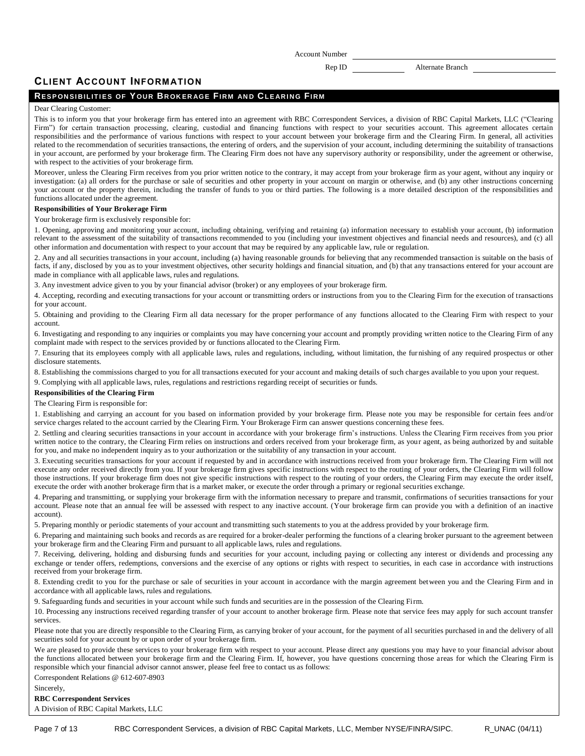Rep ID Alternate Branch

## **CLIENT ACCOUNT INFORM ATION**

## **RES P ON SI B IL IT I ES OF Y OU R BR OK ER AG E FIR M AN D CL E AR I N G FIR M**

### Dear Clearing Customer:

This is to inform you that your brokerage firm has entered into an agreement with RBC Correspondent Services, a division of RBC Capital Markets, LLC ("Clearing Firm") for certain transaction processing, clearing, custodial and financing functions with respect to your securities account. This agreement allocates certain responsibilities and the performance of various functions with respect to your account between your brokerage firm and the Clearing Firm. In general, all activities related to the recommendation of securities transactions, the entering of orders, and the supervision of your account, including determining the suitability of transactions in your account, are performed by your brokerage firm. The Clearing Firm does not have any supervisory authority or responsibility, under the agreement or otherwise, with respect to the activities of your brokerage firm.

Moreover, unless the Clearing Firm receives from you prior written notice to the contrary, it may accept from your brokerage firm as your agent, without any inquiry or investigation: (a) all orders for the purchase or sale of securities and other property in your account on margin or otherwise, and (b) any other instructions concerning your account or the property therein, including the transfer of funds to you or third parties. The following is a more detailed description of the responsibilities and functions allocated under the agreement.

### **Responsibilities of Your Brokerage Firm**

Your brokerage firm is exclusively responsible for:

1. Opening, approving and monitoring your account, including obtaining, verifying and retaining (a) information necessary to establish your account, (b) information relevant to the assessment of the suitability of transactions recommended to you (including your investment objectives and financial needs and resources), and (c) all other information and documentation with respect to your account that may be required by any applicable law, rule or regulation.

2. Any and all securities transactions in your account, including (a) having reasonable grounds for believing that any recommended transaction is suitable on the basis of facts, if any, disclosed by you as to your investment objectives, other security holdings and financial situation, and (b) that any transactions entered for your account are made in compliance with all applicable laws, rules and regulations.

3. Any investment advice given to you by your financial advisor (broker) or any employees of your brokerage firm.

4. Accepting, recording and executing transactions for your account or transmitting orders or instructions from you to the Clearing Firm for the execution of transactions for your account.

5. Obtaining and providing to the Clearing Firm all data necessary for the proper performance of any functions allocated to the Clearing Firm with respect to your account.

6. Investigating and responding to any inquiries or complaints you may have concerning your account and promptly providing written notice to the Clearing Firm of any complaint made with respect to the services provided by or functions allocated to the Clearing Firm.

7. Ensuring that its employees comply with all applicable laws, rules and regulations, including, without limitation, the fur nishing of any required prospectus or other disclosure statements.

8. Establishing the commissions charged to you for all transactions executed for your account and making details of such charges available to you upon your request.

9. Complying with all applicable laws, rules, regulations and restrictions regarding receipt of securities or funds.

## **Responsibilities of the Clearing Firm**

The Clearing Firm is responsible for:

1. Establishing and carrying an account for you based on information provided by your brokerage firm. Please note you may be responsible for certain fees and/or service charges related to the account carried by the Clearing Firm. Your Brokerage Firm can answer questions concerning these fees.

2. Settling and clearing securities transactions in your account in accordance with your brokerage firm's instructions. Unless the Clearing Firm receives from you prior written notice to the contrary, the Clearing Firm relies on instructions and orders received from your brokerage firm, as your agent, as being authorized by and suitable for you, and make no independent inquiry as to your authorization or the suitability of any transaction in your account.

3. Executing securities transactions for your account if requested by and in accordance with instructions received from your brokerage firm. The Clearing Firm will not execute any order received directly from you. If your brokerage firm gives specific instructions with respect to the routing of your orders, the Clearing Firm will follow those instructions. If your brokerage firm does not give specific instructions with respect to the routing of your orders, the Clearing Firm may execute the order itself, execute the order with another brokerage firm that is a market maker, or execute the order through a primary or regional securities exchange.

4. Preparing and transmitting, or supplying your brokerage firm with the information necessary to prepare and transmit, confirmations of securities transactions for your account. Please note that an annual fee will be assessed with respect to any inactive account. (Your brokerage firm can provide you with a definition of an inactive account).

5. Preparing monthly or periodic statements of your account and transmitting such statements to you at the address provided by your brokerage firm.

6. Preparing and maintaining such books and records as are required for a broker-dealer performing the functions of a clearing broker pursuant to the agreement between your brokerage firm and the Clearing Firm and pursuant to all applicable laws, rules and regulations.

7. Receiving, delivering, holding and disbursing funds and securities for your account, including paying or collecting any interest or dividends and processing any exchange or tender offers, redemptions, conversions and the exercise of any options or rights with respect to securities, in each case in accordance with instructions received from your brokerage firm.

8. Extending credit to you for the purchase or sale of securities in your account in accordance with the margin agreement between you and the Clearing Firm and in accordance with all applicable laws, rules and regulations.

9. Safeguarding funds and securities in your account while such funds and securities are in the possession of the Clearing Firm.

10. Processing any instructions received regarding transfer of your account to another brokerage firm. Please note that service fees may apply for such account transfer services.

Please note that you are directly responsible to the Clearing Firm, as carrying broker of your account, for the payment of all securities purchased in and the delivery of all securities sold for your account by or upon order of your brokerage firm.

We are pleased to provide these services to your brokerage firm with respect to your account. Please direct any questions you may have to your financial advisor about the functions allocated between your brokerage firm and the Clearing Firm. If, however, you have questions concerning those areas for which the Clearing Firm is responsible which your financial advisor cannot answer, please feel free to contact us as follows:

Correspondent Relations @ 612-607-8903

### Sincerely,

### **RBC Correspondent Services**

A Division of RBC Capital Markets, LLC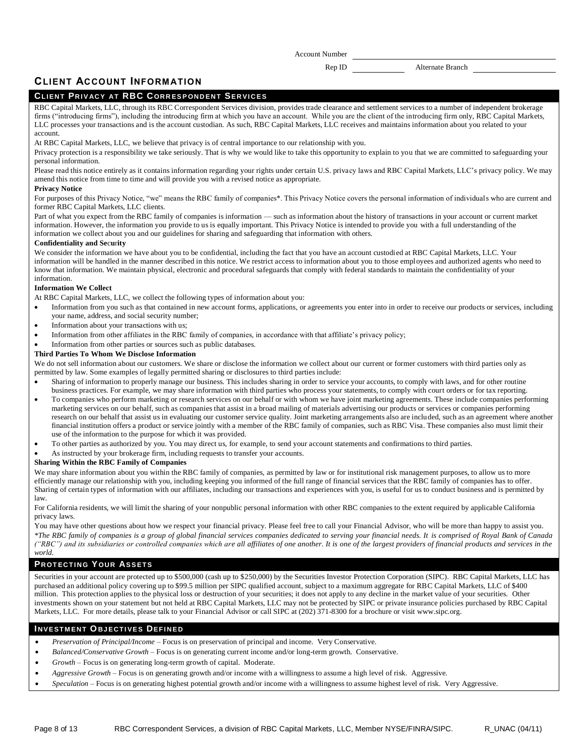Rep ID Alternate Branch

## **CLIENT ACCOUNT INFORM ATION**

## **CL IEN T PR I V AC Y AT RBC C OR R ES P ON D EN T SER VI C E S**

RBC Capital Markets, LLC, through its RBC Correspondent Services division, provides trade clearance and settlement services to a number of independent brokerage firms ("introducing firms"), including the introducing firm at which you have an account. While you are the client of the introducing firm only, RBC Capital Markets, LLC processes your transactions and is the account custodian. As such, RBC Capital Markets, LLC receives and maintains information about you related to your account.

At RBC Capital Markets, LLC, we believe that privacy is of central importance to our relationship with you.

Privacy protection is a responsibility we take seriously. That is why we would like to take this opportunity to explain to you that we are committed to safeguarding your personal information.

Please read this notice entirely as it contains information regarding your rights under certain U.S. privacy laws and RBC Capital Markets, LLC's privacy policy. We may amend this notice from time to time and will provide you with a revised notice as appropriate.

#### **Privacy Notice**

For purposes of this Privacy Notice, "we" means the RBC family of companies\*. This Privacy Notice covers the personal information of individuals who are current and former RBC Capital Markets, LLC clients.

Part of what you expect from the RBC family of companies is information — such as information about the history of transactions in your account or current market information. However, the information you provide to us is equally important. This Privacy Notice is intended to provide you with a full understanding of the information we collect about you and our guidelines for sharing and safeguarding that information with others.

### **Confidentiality and Se**c**u**r**ity**

We consider the information we have about you to be confidential, including the fact that you have an account custodied at RBC Capital Markets, LLC. Your information will be handled in the manner described in this notice. We restrict access to information about you to those employees and authorized agents who need to know that information. We maintain physical, electronic and procedural safeguards that comply with federal standards to maintain the confidentiality of your information.

### **Information We Collect**

At RBC Capital Markets, LLC, we collect the following types of information about you:

- Information from you such as that contained in new account forms, applications, or agreements you enter into in order to receive our products or services, including your name, address, and social security number;
- Information about your transactions with us;
- Information from other affiliates in the RBC family of companies, in accordance with that affiliate's privacy policy;

### Information from other parties or sources such as public databases.

### **Third Parties To Whom We Disclose Information**

We do not sell information about our customers. We share or disclose the information we collect about our current or former customers with third parties only as permitted by law. Some examples of legally permitted sharing or disclosures to third parties include:

- Sharing of information to properly manage our business. This includes sharing in order to service your accounts, to comply with laws, and for other routine business practices. For example, we may share information with third parties who process your statements, to comply with court orders or for tax reporting.
- To companies who perform marketing or research services on our behalf or with whom we have joint marketing agreements. These include companies performing marketing services on our behalf, such as companies that assist in a broad mailing of materials advertising our products or services or companies performing research on our behalf that assist us in evaluating our customer service quality. Joint marketing arrangements also are included, such as an agreement where another financial institution offers a product or service jointly with a member of the RBC family of companies, such as RBC Visa. These companies also must limit their use of the information to the purpose for which it was provided.
- To other parties as authorized by you. You may direct us, for example, to send your account statements and confirmations to third parties.
- As instructed by your brokerage firm, including requests to transfer your accounts.

### **Sharing Within the RBC Family of Companies**

We may share information about you within the RBC family of companies, as permitted by law or for institutional risk management purposes, to allow us to more efficiently manage our relationship with you, including keeping you informed of the full range of financial services that the RBC family of companies has to offer. Sharing of certain types of information with our affiliates, including our transactions and experiences with you, is useful for us to conduct business and is permitted by law.

For California residents, we will limit the sharing of your nonpublic personal information with other RBC companies to the extent required by applicable California privacy laws.

You may have other questions about how we respect your financial privacy. Please feel free to call your Financial Advisor, who will be more than happy to assist you. *\*The RBC family of companies is a group of global financial services companies dedicated to serving your financial needs. It is comprised of Royal Bank of Canada ("RBC") and its subsidiaries or controlled companies which are all affiliates of one another. It is one of the largest providers of financial products and services in the world.* 

## **PROTECTING YOUR ASSETS**

Securities in your account are protected up to \$500,000 (cash up to \$250,000) by the Securities Investor Protection Corporation (SIPC). RBC Capital Markets, LLC has purchased an additional policy covering up to \$99.5 million per SIPC qualified account, subject to a maximum aggregate for RBC Capital Markets, LLC of \$400 million. This protection applies to the physical loss or destruction of your securities; it does not apply to any decline in the market value of your securities. Other investments shown on your statement but not held at RBC Capital Markets, LLC may not be protected by SIPC or private insurance policies purchased by RBC Capital Markets, LLC. For more details, please talk to your Financial Advisor or call SIPC at (202) 371-8300 for a brochure or visit [www.sipc.org.](file://www.sipc.org)

## **INVESTMENT OBJECTIVES DEFINED**

- *Preservation of Principal/Income* Focus is on preservation of principal and income. Very Conservative.
- *Balanced/Conservative Growth* Focus is on generating current income and/or long-term growth. Conservative.
- *Growth* Focus is on generating long-term growth of capital. Moderate.
- *Aggressive Growth* Focus is on generating growth and/or income with a willingness to assume a high level of risk. Aggressive.
- *Speculation* Focus is on generating highest potential growth and/or income with a willingness to assume highest level of risk. Very Aggressive.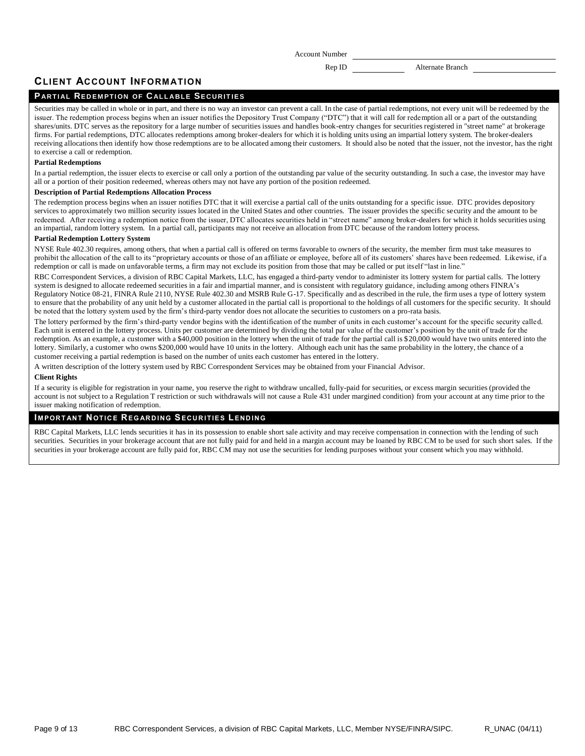Rep ID Alternate Branch

## **CLIENT ACCOUNT INFORM ATION**

## **PARTIAL REDEMPTION OF CALLABLE SECURITIES**

Securities may be called in whole or in part, and there is no way an investor can prevent a call. In the case of partial redemptions, not every unit will be redeemed by the issuer. The redemption process begins when an issuer notifies the Depository Trust Company ("DTC") that it will call for redemption all or a part of the outstanding shares/units. DTC serves as the repository for a large number of securities issues and handles book-entry changes for securities registered in "street name" at brokerage firms. For partial redemptions, DTC allocates redemptions among broker-dealers for which it is holding units using an impartial lottery system. The broker-dealers receiving allocations then identify how those redemptions are to be allocated among their customers. It should also be noted that the issuer, not the investor, has the right to exercise a call or redemption.

#### **Partial Redemptions**

In a partial redemption, the issuer elects to exercise or call only a portion of the outstanding par value of the security outstanding. In such a case, the investor may have all or a portion of their position redeemed, whereas others may not have any portion of the position redeemed.

### **Description of Partial Redemptions Allocation Process**

The redemption process begins when an issuer notifies DTC that it will exercise a partial call of the units outstanding for a specific issue. DTC provides depository services to approximately two million security issues located in the United States and other countries. The issuer provides the specific security and the amount to be redeemed. After receiving a redemption notice from the issuer, DTC allocates securities held in "street name" among broker-dealers for which it holds securities using an impartial, random lottery system. In a partial call, participants may not receive an allocation from DTC because of the random lottery process.

#### **Partial Redemption Lottery System**

NYSE Rule 402.30 requires, among others, that when a partial call is offered on terms favorable to owners of the security, the member firm must take measures to prohibit the allocation of the call to its "proprietary accounts or those of an affiliate or employee, before all of its customers' shares have been redeemed. Likewise, if a redemption or call is made on unfavorable terms, a firm may not exclude its position from those that may be called or put itself "last in line."

RBC Correspondent Services, a division of RBC Capital Markets, LLC, has engaged a third-party vendor to administer its lottery system for partial calls. The lottery system is designed to allocate redeemed securities in a fair and impartial manner, and is consistent with regulatory guidance, including among others FINRA's Regulatory Notice 08-21, FINRA Rule 2110, NYSE Rule 402.30 and MSRB Rule G-17. Specifically and as described in the rule, the firm uses a type of lottery system to ensure that the probability of any unit held by a customer allocated in the partial call is proportional to the holdings of all customers for the specific security. It should be noted that the lottery system used by the firm's third-party vendor does not allocate the securities to customers on a pro-rata basis.

The lottery performed by the firm's third-party vendor begins with the identification of the number of units in each customer's account for the specific security called. Each unit is entered in the lottery process. Units per customer are determined by dividing the total par value of the customer's position by the unit of trade for the redemption. As an example, a customer with a \$40,000 position in the lottery when the unit of trade for the partial call is \$20,000 would have two units entered into the lottery. Similarly, a customer who owns \$200,000 would have 10 units in the lottery. Although each unit has the same probability in the lottery, the chance of a customer receiving a partial redemption is based on the number of units each customer has entered in the lottery.

A written description of the lottery system used by RBC Correspondent Services may be obtained from your Financial Advisor.

#### **Client Rights**

If a security is eligible for registration in your name, you reserve the right to withdraw uncalled, fully-paid for securities, or excess margin securities (provided the account is not subject to a Regulation T restriction or such withdrawals will not cause a Rule 431 under margined condition) from your account at any time prior to the issuer making notification of redemption.

### **IMPORTANT NOTICE REGARDING SECURITIES LENDING**

RBC Capital Markets, LLC lends securities it has in its possession to enable short sale activity and may receive compensation in connection with the lending of such securities. Securities in your brokerage account that are not fully paid for and held in a margin account may be loaned by RBC CM to be used for such short sales. If the securities in your brokerage account are fully paid for, RBC CM may not use the securities for lending purposes without your consent which you may withhold.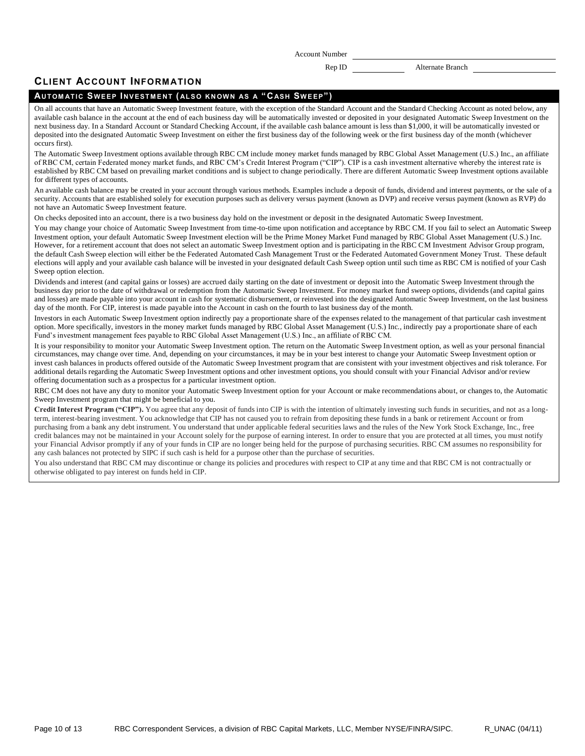Rep ID Alternate Branch

## **CLIENT ACCOUNT INFORM ATION**

### **AU T OM AT IC S WE EP I N V EST M E N T ( AL S O K N OW N AS A " CASH SW E EP" )**

On all accounts that have an Automatic Sweep Investment feature, with the exception of the Standard Account and the Standard Checking Account as noted below, any available cash balance in the account at the end of each business day will be automatically invested or deposited in your designated Automatic Sweep Investment on the next business day. In a Standard Account or Standard Checking Account, if the available cash balance amount is less than \$1,000, it will be automatically invested or deposited into the designated Automatic Sweep Investment on either the first business day of the following week or the first business day of the month (whichever occurs first).

The Automatic Sweep Investment options available through RBC CM include money market funds managed by RBC Global Asset Management (U.S.) Inc., an affiliate of RBC CM, certain Federated money market funds, and RBC CM's Credit Interest Program ("CIP"). CIP is a cash investment alternative whereby the interest rate is established by RBC CM based on prevailing market conditions and is subject to change periodically. There are different Automatic Sweep Investment options available for different types of accounts.

An available cash balance may be created in your account through various methods. Examples include a deposit of funds, dividend and interest payments, or the sale of a security. Accounts that are established solely for execution purposes such as delivery versus payment (known as DVP) and receive versus payment (known as RVP) do not have an Automatic Sweep Investment feature.

On checks deposited into an account, there is a two business day hold on the investment or deposit in the designated Automatic Sweep Investment.

You may change your choice of Automatic Sweep Investment from time-to-time upon notification and acceptance by RBC CM. If you fail to select an Automatic Sweep Investment option, your default Automatic Sweep Investment election will be the Prime Money Market Fund managed by RBC Global Asset Management (U.S.) Inc. However, for a retirement account that does not select an automatic Sweep Investment option and is participating in the RBC CM Investment Advisor Group program, the default Cash Sweep election will either be the Federated Automated Cash Management Trust or the Federated Automated Government Money Trust. These default elections will apply and your available cash balance will be invested in your designated default Cash Sweep option until such time as RBC CM is notified of your Cash Sweep option election.

Dividends and interest (and capital gains or losses) are accrued daily starting on the date of investment or deposit into the Automatic Sweep Investment through the business day prior to the date of withdrawal or redemption from the Automatic Sweep Investment. For money market fund sweep options, dividends (and capital gains and losses) are made payable into your account in cash for systematic disbursement, or reinvested into the designated Automatic Sweep Investment, on the last business day of the month. For CIP, interest is made payable into the Account in cash on the fourth to last business day of the month.

Investors in each Automatic Sweep Investment option indirectly pay a proportionate share of the expenses related to the management of that particular cash investment option. More specifically, investors in the money market funds managed by RBC Global Asset Management (U.S.) Inc., indirectly pay a proportionate share of each Fund's investment management fees payable to RBC Global Asset Management (U.S.) Inc., an affiliate of RBC CM.

It is your responsibility to monitor your Automatic Sweep Investment option. The return on the Automatic Sweep Investment option, as well as your personal financial circumstances, may change over time. And, depending on your circumstances, it may be in your best interest to change your Automatic Sweep Investment option or invest cash balances in products offered outside of the Automatic Sweep Investment program that are consistent with your investment objectives and risk tolerance. For additional details regarding the Automatic Sweep Investment options and other investment options, you should consult with your Financial Advisor and/or review offering documentation such as a prospectus for a particular investment option.

RBC CM does not have any duty to monitor your Automatic Sweep Investment option for your Account or make recommendations about, or changes to, the Automatic Sweep Investment program that might be beneficial to you.

Credit Interest Program ("CIP"). You agree that any deposit of funds into CIP is with the intention of ultimately investing such funds in securities, and not as a longterm, interest-bearing investment. You acknowledge that CIP has not caused you to refrain from depositing these funds in a bank or retirement Account or from purchasing from a bank any debt instrument. You understand that under applicable federal securities laws and the rules of the New York Stock Exchange, Inc., free credit balances may not be maintained in your Account solely for the purpose of earning interest. In order to ensure that you are protected at all times, you must notify your Financial Advisor promptly if any of your funds in CIP are no longer being held for the purpose of purchasing securities. RBC CM assumes no responsibility for any cash balances not protected by SIPC if such cash is held for a purpose other than the purchase of securities.

You also understand that RBC CM may discontinue or change its policies and procedures with respect to CIP at any time and that RBC CM is not contractually or otherwise obligated to pay interest on funds held in CIP.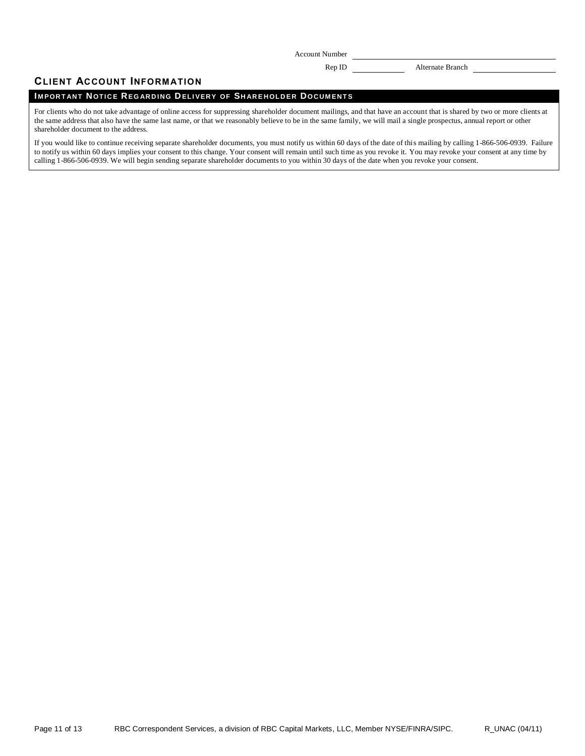Rep ID Alternate Branch

## **CLIENT ACCOUNT INFORM ATION**

## **IMPORTANT NOTICE REGARDING DELIVERY OF SHAREHOLDER DOCUMENTS**

For clients who do not take advantage of online access for suppressing shareholder document mailings, and that have an account that is shared by two or more clients at the same address that also have the same last name, or that we reasonably believe to be in the same family, we will mail a single prospectus, annual report or other shareholder document to the address.

If you would like to continue receiving separate shareholder documents, you must notify us within 60 days of the date of this mailing by calling 1-866-506-0939. Failure to notify us within 60 days implies your consent to this change. Your consent will remain until such time as you revoke it. You may revoke your consent at any time by calling 1-866-506-0939. We will begin sending separate shareholder documents to you within 30 days of the date when you revoke your consent.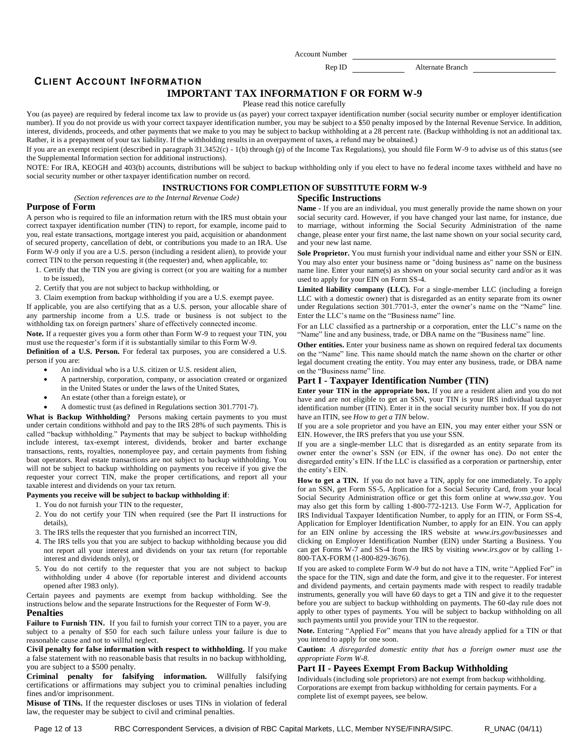Rep ID Alternate Branch

## **CLIENT ACCOUNT INFORM ATION**

### **IMPORTANT TAX INFORMATION F OR FORM W-9**

Please read this notice carefully

You (as payee) are required by federal income tax law to provide us (as payer) your correct taxpayer identification number (social security number or employer identification number). If you do not provide us with your correct taxpayer identification number, you may be subject to a \$50 penalty imposed by the Internal Revenue Service. In addition, interest, dividends, proceeds, and other payments that we make to you may be subject to backup withholding at a 28 percent rate. (Backup withholding is not an additional tax. Rather, it is a prepayment of your tax liability. If the withholding results in an overpayment of taxes, a refund may be obtained.)

If you are an exempt recipient (described in paragraph  $31.3452(c) - 1(b)$  through (p) of the Income Tax Regulations), you should file Form W-9 to advise us of this status (see the Supplemental Information section for additional instructions).

NOTE: For IRA, KEOGH and 403(b) accounts, distributions will be subject to backup withholding only if you elect to have no federal income taxes withheld and have no social security number or other taxpayer identification number on record.

## **INSTRUCTIONS FOR COMPLETION OF SUBSTITUTE FORM W-9**

*(Section references are to the Internal Revenue Code)*

# **Specific Instructions**

#### **Purpose of Form**

A person who is required to file an information return with the IRS must obtain your correct taxpayer identification number (TIN) to report, for example, income paid to you, real estate transactions, mortgage interest you paid, acquisition or abandonment of secured property, cancellation of debt, or contributions you made to an IRA. Use Form W-9 only if you are a U.S. person (including a resident alien), to provide your correct TIN to the person requesting it (the requester) and, when applicable, to:

1. Certify that the TIN you are giving is correct (or you are waiting for a number

- to be issued),
- 2. Certify that you are not subject to backup withholding, or

3. Claim exemption from backup withholding if you are a U.S. exempt payee. If applicable, you are also certifying that as a U.S. person, your allocable share of any partnership income from a U.S. trade or business is not subject to the withholding tax on foreign partners' share of effectively connected income.

**Note.** If a requester gives you a form other than Form W-9 to request your TIN, you must use the requester's form if it is substantially similar to this Form W-9.

**Definition of a U.S. Person.** For federal tax purposes, you are considered a U.S. person if you are:

- An individual who is a U.S. citizen or U.S. resident alien,
- A partnership, corporation, company, or association created or organized in the United States or under the laws of the United States,
- An estate (other than a foreign estate), or
- A domestic trust (as defined in Regulations section 301.7701-7).

**What is Backup Withholding?** Persons making certain payments to you must under certain conditions withhold and pay to the IRS 28% of such payments. This is called "backup withholding." Payments that may be subject to backup withholding include interest, tax-exempt interest, dividends, broker and barter exchange transactions, rents, royalties, nonemployee pay, and certain payments from fishing boat operators. Real estate transactions are not subject to backup withholding. You will not be subject to backup withholding on payments you receive if you give the requester your correct TIN, make the proper certifications, and report all your taxable interest and dividends on your tax return.

#### **Payments you receive will be subject to backup withholding if**:

- 1. You do not furnish your TIN to the requester,
- 2. You do not certify your TIN when required (see the Part II instructions for details),
- 3. The IRS tells the requester that you furnished an incorrect TIN,
- 4. The IRS tells you that you are subject to backup withholding because you did not report all your interest and dividends on your tax return (for reportable interest and dividends only), or
- 5. You do not certify to the requester that you are not subject to backup withholding under 4 above (for reportable interest and dividend accounts opened after 1983 only).

Certain payees and payments are exempt from backup withholding. See the instructions below and the separate Instructions for the Requester of Form W-9.

## **Penalties**

Failure to Furnish TIN. If you fail to furnish your correct TIN to a payer, you are subject to a penalty of \$50 for each such failure unless your failure is due to reasonable cause and not to willful neglect.

**Civil penalty for false information with respect to withholding.** If you make a false statement with no reasonable basis that results in no backup withholding, you are subject to a \$500 penalty.

**Criminal penalty for falsifying information.** Willfully falsifying certifications or affirmations may subject you to criminal penalties including fines and/or imprisonment.

**Misuse of TINs.** If the requester discloses or uses TINs in violation of federal law, the requester may be subject to civil and criminal penalties.

**Name -** If you are an individual, you must generally provide the name shown on your social security card. However, if you have changed your last name, for instance, due to marriage, without informing the Social Security Administration of the name change, please enter your first name, the last name shown on your social security card, and your new last name.

**Sole Proprietor.** You must furnish your individual name and either your SSN or EIN. You may also enter your business name or "doing business as" name on the business name line. Enter your name(s) as shown on your social security card and/or as it was used to apply for your EIN on Form SS-4.

**Limited liability company (LLC).** For a single-member LLC (including a foreign LLC with a domestic owner) that is disregarded as an entity separate from its owner under Regulations section  $301.7701-3$ , enter the owner's name on the "Name" line. Enter the LLC's name on the "Business name" line.

For an LLC classified as a partnership or a corporation, enter the LLC's name on the "Name" line and any business, trade, or DBA name on the "Business name" line.

**Other entities.** Enter your business name as shown on required federal tax documents on the "Name" line. This name should match the name shown on the charter or other legal document creating the entity. You may enter any business, trade, or DBA name on the "Business name" line.

## **Part I - Taxpayer Identification Number (TIN)**

**Enter your TIN in the appropriate box.** If you are a resident alien and you do not have and are not eligible to get an SSN, your TIN is your IRS individual taxpayer identification number (ITIN). Enter it in the social security number box. If you do not have an ITIN, see *How to get a TIN* below.

If you are a sole proprietor and you have an EIN, you may enter either your SSN or EIN. However, the IRS prefers that you use your SSN.

If you are a single-member LLC that is disregarded as an entity separate from its owner enter the owner's SSN (or EIN, if the owner has one). Do not enter the disregarded entity's EIN. If the LLC is classified as a corporation or partnership, enter the entity's EIN.

**How to get a TIN.** If you do not have a TIN, apply for one immediately. To apply for an SSN, get Form SS-5, Application for a Social Security Card, from your local Social Security Administration office or get this form online at *www.ssa.gov*. You may also get this form by calling 1-800-772-1213. Use Form W-7, Application for IRS Individual Taxpayer Identification Number, to apply for an ITIN, or Form SS-4, Application for Employer Identification Number, to apply for an EIN. You can apply for an EIN online by accessing the IRS website at *www.irs.gov/businesses* and clicking on Employer Identification Number (EIN) under Starting a Business. You can get Forms W-7 and SS-4 from the IRS by visiting *www.irs.gov* or by calling 1- 800-TAX-FORM (1-800-829-3676).

If you are asked to complete Form W-9 but do not have a TIN, write "Applied For" in the space for the TIN, sign and date the form, and give it to the requester. For interest and dividend payments, and certain payments made with respect to readily tradable instruments, generally you will have 60 days to get a TIN and give it to the requester before you are subject to backup withholding on payments. The 60-day rule does not apply to other types of payments. You will be subject to backup withholding on all such payments until you provide your TIN to the requestor.

Note. Entering "Applied For" means that you have already applied for a TIN or that you intend to apply for one soon.

**Caution:** *A disregarded domestic entity that has a foreign owner must use the appropriate Form W-8.*

### **Part II - Payees Exempt From Backup Withholding**

Individuals (including sole proprietors) are not exempt from backup withholding. Corporations are exempt from backup withholding for certain payments. For a complete list of exempt payees, see below.